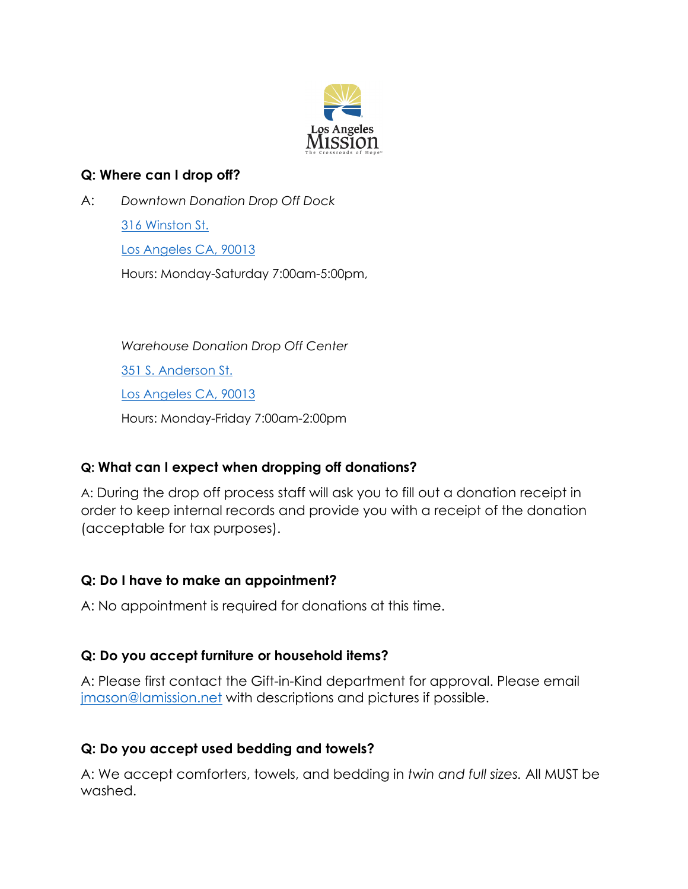

#### **Q: Where can I drop off?**

A: *Downtown Donation Drop Off Dock* 316 Winston St. Los Angeles CA, 90013 Hours: Monday-Saturday 7:00am-5:00pm,

> *Warehouse Donation Drop Off Center* 351 S. Anderson St. Los Angeles CA, 90013 Hours: Monday-Friday 7:00am-2:00pm

### **Q: What can I expect when dropping off donations?**

A: During the drop off process staff will ask you to fill out a donation receipt in order to keep internal records and provide you with a receipt of the donation (acceptable for tax purposes).

### **Q: Do I have to make an appointment?**

A: No appointment is required for donations at this time.

# **Q: Do you accept furniture or household items?**

A: Please first contact the Gift-in-Kind department for approval. Please email [jmason@lamission.net](mailto:jmason@lamission.net) with descriptions and pictures if possible.

### **Q: Do you accept used bedding and towels?**

A: We accept comforters, towels, and bedding in *twin and full sizes.* All MUST be washed.